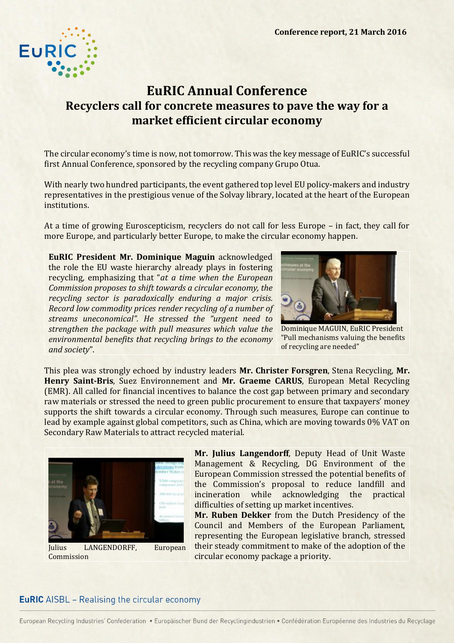

## **EuRIC Annual Conference Recyclers call for concrete measures to pave the way for a market efficient circular economy**

The circular economy's time is now, not tomorrow. This was the key message of EuRIC's successful first Annual Conference, sponsored by the recycling company Grupo Otua.

With nearly two hundred participants, the event gathered top level EU policy-makers and industry representatives in the prestigious venue of the Solvay library, located at the heart of the European institutions.

At a time of growing Euroscepticism, recyclers do not call for less Europe – in fact, they call for more Europe, and particularly better Europe, to make the circular economy happen.

**EuRIC President Mr. Dominique Maguin** acknowledged the role the EU waste hierarchy already plays in fostering recycling, emphasizing that "*at a time when the European Commission proposes to shift towards a circular economy, the recycling sector is paradoxically enduring a major crisis. Record low commodity prices render recycling of a number of streams uneconomical". He stressed the "urgent need to strengthen the package with pull measures which value the environmental benefits that recycling brings to the economy and society*".



Dominique MAGUIN, EuRIC President "Pull mechanisms valuing the benefits of recycling are needed"

This plea was strongly echoed by industry leaders **Mr. Christer Forsgren**, Stena Recycling, **Mr. Henry Saint-Bris**, Suez Environnement and **Mr. Graeme CARUS**, European Metal Recycling (EMR). All called for financial incentives to balance the cost gap between primary and secondary raw materials or stressed the need to green public procurement to ensure that taxpayers' money supports the shift towards a circular economy. Through such measures, Europe can continue to lead by example against global competitors, such as China, which are moving towards 0% VAT on Secondary Raw Materials to attract recycled material.



Julius LANGENDORFF, European Commission

**Mr. Julius Langendorff**, Deputy Head of Unit Waste Management & Recycling, DG Environment of the European Commission stressed the potential benefits of the Commission's proposal to reduce landfill and incineration while acknowledging the practical difficulties of setting up market incentives.

**Mr. Ruben Dekker** from the Dutch Presidency of the Council and Members of the European Parliament, representing the European legislative branch, stressed their steady commitment to make of the adoption of the circular economy package a priority.

## **EuRIC** AISBL - Realising the circular economy